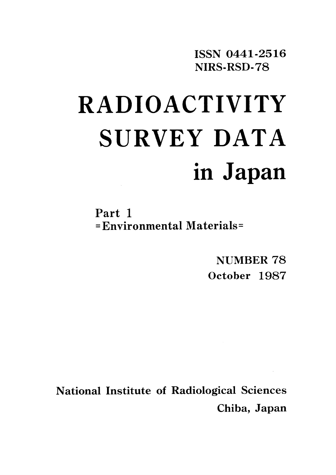**ISSN 0441-2516** NIRS-RSD-78

# **RADIOACTIVITY** SURVEY DATA in Japan

Part 1 =Environmental Materials=

> NUMBER 78 October 1987

**National Institute of Radiological Sciences** Chiba, Japan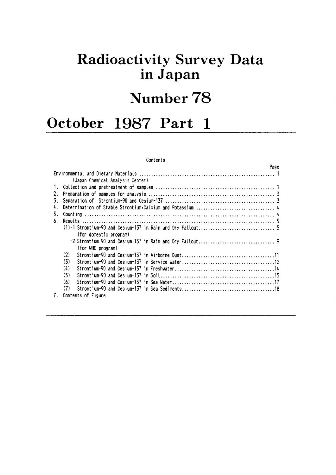# **Radioactivity Survey Data** in Japan

# Number 78

## October 1987 Part 1

#### Contents

|    |                                  | Page |
|----|----------------------------------|------|
|    |                                  |      |
|    | (Japan Chemical Analysis Center) |      |
| 1. |                                  |      |
| 2. |                                  |      |
| 3. |                                  |      |
| 4. |                                  |      |
| 5. |                                  |      |
| 6. |                                  |      |
|    |                                  |      |
|    | (for domestic program)           |      |
|    |                                  |      |
|    | (for WHO program)                |      |
|    | (2)                              |      |
|    | (3)                              |      |
|    | (4)                              |      |
|    | (5)                              |      |
|    | (6)                              |      |
|    | (7)                              |      |
| 7. | Contents of Figure               |      |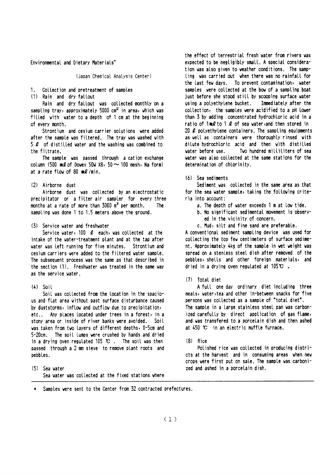Environmental and Dietary Materials\*

(Japan Chemical Analysis Center)

1. Collection and pretreatment of samples

(1) Rain and dry fallout

Rain and dry fallout was collected monthly on a sampling tray, approximately 5000 cm<sup>2</sup> in area, which was filled with water to a depth of 1 cm at the beginning of every month.

Strontium and cesium carrier solutions were added after the sample was filtered. The tray was washed with 5  $\ell$  of distilled water and the washing was combined to the filtrate.

The sample was passed through a cation exchange column (500 ml of Dowex 50W  $\times$ 8, 50  $\sim$  100 mesh, Na form) at a rate flow of 80  $mQ/min$ .

#### (2) Airborne dust

Airborne dust was collected by an electrostatic precipitator or a filter air sampler for every three months at a rate of more than  $3000 \text{ m}^3$  per month. The sampling was done 1 to 1.5 meters above the ground.

#### (3) Service water and freshwater

Service water, 100  $\ell$  each, was collected at the intake of the water-treatment plant and at the tap after water was left running for five minutes. Strontium and cesium carriers were added to the filtered water sample. The subsequent process was the same as that described in the section (1). Freshwater was treated in the same way as the service water.

#### $(4)$  Soil

Soil was collected from the location in the spacious and flat area without past surface disturbance caused by duststorms, inflow and outflow due to precipitation, etc.. Any places located under trees in a forest, in a stony area or inside of river banks were avoided. Soil was taken from two layers of different depths, 0-5cm and 5-20cm. The soil lumps were crushed by hands and dried in a drying oven regulated 105  $\mathbf{C}$ . The soil was then passed through a 2 mm sieve to remove plant roots and pebbles.

(5) Sea water Sea water was collected at the fixed stations where the effect of terrestrial fresh water from rivers was expected to be negligibly small. A special consideration was also given to weather conditions. The sampling was carried out when there was no rainfall for the last few days. To prevent contamination, water samples were collected at the bow of a sampling boat just before she stood still by scooping surface water using a polyethylene bucket. Immediately after the collection, the samples were acidified to a pH lower than 3 by adding concentrated hydrochtoric acid in a ratio of  $1 \text{ mQ}$  to  $1 \text{ Q}$  of sea water, and then stored in 20  $\ell$  polyethylene containers. The sampling equipments as well as containers were thoroughly rinsed with dilute hydrochloric acid and then with distilled vater before use. Two hundred milliliters of sea water was also collected at the same stations for the determination of chlorinity.

(6) Sea sediments

Sediment was collected in the same area as that for the sea water sample, taking the following criteria into account:

- a. The depth of water exceeds 1 m at low tide.
- b. No significant sedimental movement is observed in the vicinity of concern.
- c. Mud, silt and fine sand are preferable.

A conventional sediment sampling device was used for collecting the top few centimeters of surface sediment. Approximately 4kg of the sample in wet weight was spread on a stenless steel dish after removed of the pebbles, shells and other foreign materials, and dried in a drying oven regulated at  $105 \mathbf{C}$ .

#### (7) Total diet

A full one day ordinary diet including three meals, water, tea and other in-between snacks for five persons was collected as a sample of "total diet". The sample in a large stainless steel pan was carbonized carefully by direct application of sas flame, and was transfered to a porcelain dish and then ashed at 450 °C in an electric muffle furnace.

#### $(8)$  Rice

Polished rice was collected in producing districts at the harvest and in consuming areas when new crops were first put on sale. The sample was carbonized and ashed in a porcelain dish.

Samples were sent to the Center from 32 contracted prefectures.  $\mathbf{u}$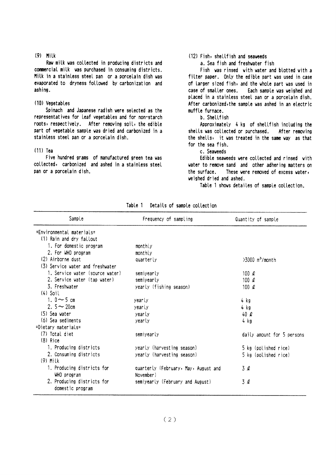#### $(9)$  Milk

Raw milk was collected in producing districts and commercial milk was purchased in consuming districts. Milk in a stainless steel pan or a porcelain dish was evaporated to dryness followed by carbonization and ashing.

### (10) Vegetables

Spinach and Japanese radish were selected as the representatives for leaf vegetables and for non-starch roots, respectively. After removing soil, the edible part of vegetable sample was dried and carbonized in a stainless steel pan or a porcelain dish.

#### $(11)$  Tea

Five hundred grams of manufactured green tea was collected, carbonized and ashed in a stainless steel pan or a porcelain dish.

#### (12) Fish, shellfish and seaweeds

a. Sea fish and freshwater fish

Fish was rinsed with water and blotted with a filter paper. Only the edible part was used in case of larger sized fish, and the whole part was used in case of smaller ones. Each sample was weighed and placed in a stainless steel pan or a porcelain dish. After carbonized, the sample was ashed in an electric muffle furnace.

#### b. Shellfish

Approximately 4 kg of shellfish including the shells was collected or purchased. After removing the shells, it was treated in the same way as that for the sea fish.

## c. Seaweeds

Edible seaweeds were collected and rinsed with water to remove sand and other adhering matters on the surface. These were removed of excess water, weighed dried and ashed.

Table 1 shows detailes of sample collection.

| Sample                           | Frequency of sampling                | Quantity of sample            |
|----------------------------------|--------------------------------------|-------------------------------|
| $=$ Environmental materials $=$  |                                      |                               |
| (1) Rain and dry fallout         |                                      |                               |
| 1. For domestic program          | monthly                              |                               |
| 2. For WHO program               | monthly                              |                               |
| (2) Airborne dust                | quarterly                            | $>3000$ m <sup>3</sup> /month |
| (3) Service water and freshwater |                                      |                               |
| 1. Service water (source water)  | semiyearly                           | 100 $\ell$                    |
| 2. Service water (tap water)     | semiyearly                           | 100 $\ell$                    |
| 3. Freshwater                    | yearly (fishing season)              | 100 $\ell$                    |
| $(4)$ Soil                       |                                      |                               |
| 1. $0 \sim 5$ cm                 | yearly                               | 4 kg                          |
| 2. $5 - 20$ cm                   | yearly                               | 4 kg                          |
| (5) Sea water                    | yearly                               | 40Q                           |
| (6) Sea sediments                | yearly                               | 4 kg                          |
| =Dietary materials=              |                                      |                               |
| (7) Total diet                   | semiyearly                           | daily amount for 5 persons    |
| (8) Rice                         |                                      |                               |
| 1. Producing districts           | yearly (harvesting season)           | 5 kg (polished rice)          |
| 2. Consuming districts           | yearly (harvesting season)           | 5 kg (polished rice)          |
| $(9)$ Milk                       |                                      |                               |
| 1. Producing districts for       | quarterly (February, May, August and | 3Q                            |
| WHO program                      | November)                            |                               |
| 2. Producing districts for       | semiyearly (February and August)     | 3 Q                           |
| domestic program                 |                                      |                               |

Table 1 Details of sample collection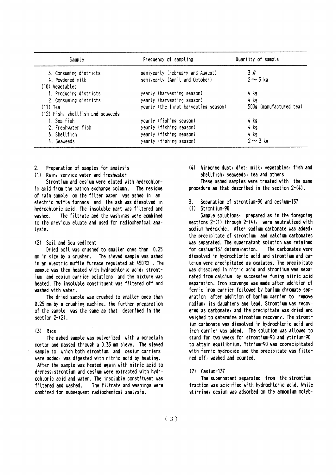| Sample                            | Frequency of sampling                | Quantity of sample      |  |
|-----------------------------------|--------------------------------------|-------------------------|--|
| 3. Consuming districts            | semiyearly (February and August)     | 3Q                      |  |
| 4. Powdered milk                  | semiyearly (April and October)       | $2 \sim 3$ kg           |  |
| (10) Vegetables                   |                                      |                         |  |
| 1. Producing districts            | yearly (harvesting season)           | 4 kg                    |  |
| 2. Consuming districts            | yearly (harvesting season)           | $4$ kg                  |  |
| $(11)$ Tea                        | yearly (the first harvesting season) | 500g (manufactured tea) |  |
| (12) Fish, shellfish and seaveeds |                                      |                         |  |
| 1. Sea fish                       | yearly (fishing season)              | 4 kg                    |  |
| 2. Freshwater fish                | yearly (fishing season)              | 4 kg                    |  |
| 3. Shellfish                      | yearly (fishing season)              | 4 kg                    |  |
| 4. Seaveeds                       | yearly (fishing season)              | $2 \sim 3$ kg           |  |

Preparation of samples for analysis  $2^{\circ}$ 

(1) Rain, service water and freshwater

Strontium and cesium were eluted with hydrochloric acid from the cation exchange column. The residue of rain sample on the filter paper was ashed in an electric muffle furnace and the ash was dissolved in hydrochloric acid. The insoluble part was filtered and vashed. The filtrate and the washings were combined to the previous eluate and used for radiochemical analysis.

#### (2) Soil and Sea sediment

Dried soil was crushed to smaller ones than 0.25 mm in size by a crusher. The sieved sample was ashed in an electric muffle furnace regulated at  $450 \, \text{C}$ . The sample was then heated with hydrochloric acid, strontium and cesium carrier solutions and the mixture was heated. The insoluble constituent was filtered off and washed with water.

The dried sample was crushed to smaller ones than 0.25 mm by a crushing machine. The further preparation of the sample was the same as that described in the section  $2-(2)$ .

#### $(3)$  Rice

The ashed sample was pulverized with a porcelain mortar and passed through a 0.35 mm sieve. The sieved sample to which both strontium and cesium carriers were added, was digested with nitric acid by heating.

After the sample was heated again with nitric acid to dryness, strontium and cesium were extracted with hydrochloric acid and water. The insoluble constituent was filtered and washed. The filtrate and washings were combined for subsequent radiochemical analysis.

(4) Airborne dust, diet, milk, vegetables, fish and shellfish, seaweeds, tea and others

These ashed samples were treated with the same procedure as that described in the section 2-(4).

Separation of strontium-90 and cesium-137  $\overline{3}$ 

## (1) Strontium-90

Sample solutions, prepared as in the foregoing sections  $2-(1)$  through  $2-(4)$ , were neutralized with sodium hydroxide. After sodium carbonate was added, the precipitate of strontium and calcium carbonates was separated. The supernatant solution was retained for cesium-137 determination. The carbonates were dissolved in hydrochloric acid and strontium and ca-Icium were precipitated as oxalates. The precipitate was dissolved in nitric acid and strontium was separated from calcium by successive fuming nitric acid separation. Iron scavenge was made after addition of ferric iron carrier followed by barium chromate separation after addition of barium carrier to remove radium, its daughters and lead. Strontium was recovered as carbonate, and the precipitate was dried and weighed to determine strontium recovery. The strontium carbonate was dissolved in hydrochloric acid and iron carrier was added. The solution was allowed to stand for two weeks for strontium-90 and yttrium-90 to attain equilibrium. Yttrium-90 was coprecipitated with ferric hydroxide and the precipitate was filtered off, washed and counted.

 $(2)$  Cesium-137

The supernatant separated from the strontium fraction was acidified with hydrochloric acid. While stirring, cesium was adsorbed on the ammonium molyb-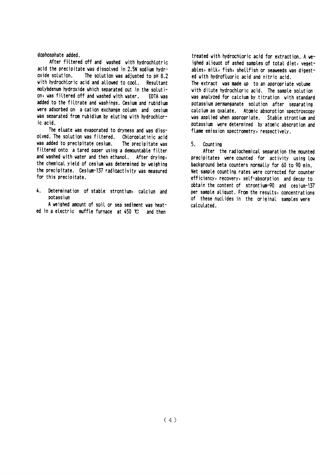#### dophosphate added.

After filtered off and washed with hydrochlotric acid the precipitate was dissolved in 2.5N sodium hydroxide solution. The solution was adjusted to pH 8.2 with hydrochloric acid and allowed to cool. Resultant molybdenum hydroxide which separated out in the solution, was filtered off and washed with water. EDTA was added to the filtrate and washings. Cesium and rubidium were adsorbed on a cation exchange column and cesium was separated from rubidium by eluting with hydrochloric acid

The eluate was evaporated to dryness and was dissolved. The solution was filtered. Chloroplatinic acid was added to precipitate cesium. The precipitate was filtered onto a tared paper using a demountable filter and washed with water and then ethanol. After drying, the chemical yield of cesium was determined by weighing the precipitate. Cesium-137 radioactivity was measured for this precipitate.

 $\mathbf{L}$ Determination of stable strontium, calcium and ontaccium

A weighed amount of soil or sea sediment was heated in a electric muffle furnace at  $450 \text{ C}$  and then

treated with hydrochloric acid for extraction. A weighed aliquot of ashed samples of total diet, vegetables, milk, fish, shellfish or seaweeds was digested with hydrofluoric acid and nitric acid. The extract was made up to an appropriate volume with dilute hydrochloric acid. The sample solution was analyzed for calcium by titration with standard potassium permanganate solution after separating calcium as oxalate. Atomic absorption spectroscopy was applied when appropriate. Stable strontium and potassium were determined by atomic absorption and flame emission spectrometry, respectively.

#### 5. Count ing

After the radiochemical separation the mounted precipitates were counted for activity using low background beta counters normally for 60 to 90 min. Net sample counting rates were corrected for counter efficiency, recovery, self-absorption and decay to obtain the content of strontium-90 and cesium-137 per sample aliquot. From the results, concentrations of these nuclides in the original samples were calculated.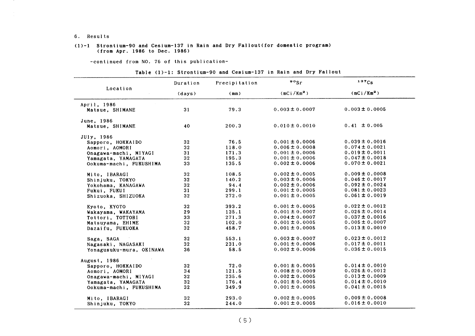6. Results

#### (1)-1 Strontium-90 and Cesium-137 in Rain and Dry Fallout(for domestic program) (from Apr.1986 to Dee.1986)

-COntinued from NO.76 0f this publication-

|                                | Duration        | Precipitation | $\cdot \cdot$      | 137Cs              |
|--------------------------------|-----------------|---------------|--------------------|--------------------|
| Location                       | (days)          | (mm)          | $(mCi/Km^2)$       | $(mCi/Km^2)$       |
| April, 1986<br>Matsue, SHIMANE | 31              | 79.3          | $0.003 \pm 0.0007$ | $0.003 \pm 0.0005$ |
|                                |                 |               |                    |                    |
| June, 1986                     |                 |               |                    |                    |
| Matsue, SHIMANE                | 40              | 200.3         | $0.010 \pm 0.0010$ | $0.41 \pm 0.005$   |
| JUly, 1986                     |                 |               |                    |                    |
| Sapporo, HOKKAIDO              | 32              | 76.5          | $0.001 \pm 0.0006$ | $0.039 \pm 0.0016$ |
| Aomori, AOMORI                 | 32              | 118.0         | $0.006 \pm 0.0008$ | $0.074 \pm 0.0021$ |
| Onagawa-machi, MIYAGI          | 31              | 171.3         | $0.001 \pm 0.0006$ | $0.019 \pm 0.0011$ |
| Yamagata, YAMAGATA             | 32 <sub>2</sub> | 195.3         | $0.001 \pm 0.0006$ | $0.047 \pm 0.0018$ |
| Ookuma-machi, FUKUSHIMA        | 33              | 135.5         | $0.002 \pm 0.0006$ | $0.070 \pm 0.0021$ |
| Mito, IBARAGI                  | 32              | 108.5         | $0.002 \pm 0.0005$ | $0.009 \pm 0.0008$ |
| Shinjuku, TOKYO                | 32 <sub>2</sub> | 140.2         | $0.003 \pm 0.0006$ | $0.046 \pm 0.0017$ |
| Yokohama, KANAGAWA             | 32              | 94.4          | $0.002 \pm 0.0006$ | $0.092 \pm 0.0024$ |
| Fukui, FUKUI                   | 31              | 299.1         | $0.001 \pm 0.0005$ | $0.081 \pm 0.0023$ |
| Shizuoka, SHIZUOKA             | 32              | 272.0         | $0.001 \pm 0.0005$ | $0.061 \pm 0.0019$ |
| Kyoto, KYOTO                   | 32              | 393.2         | $0.001 \pm 0.0005$ | $0.022 \pm 0.0012$ |
| Wakayama, WAKAYAMA             | 29              | 135.1         | $0.001 \pm 0.0007$ | $0.026 \pm 0.0014$ |
| Tottori, TOTTORI               | 33              | 271.3         | $0.004 \pm 0.0007$ | $0.037 \pm 0.0016$ |
| Matsuyama, EHIME               | 32              | 102.0         | $0.001 \pm 0.0005$ | $0.005 \pm 0.0007$ |
| Dazaifu, FUKUOKA               | 32              | 458.7         | $0.001 \pm 0.0005$ | $0.013 \pm 0.0010$ |
| Saga, SAGA                     | 32              | 553.1         | $0.003 \pm 0.0007$ | $0.023 \pm 0.0012$ |
| Nagasaki, NAGASAKI             | 32              | 231.0         | $0.001 \pm 0.0006$ | $0.017 \pm 0.0011$ |
| Yonagusuku-mura, OKINAWA       | 36              | 58.5          | $0.002 \pm 0.0006$ | $0.036 \pm 0.0015$ |
| August, 1986                   |                 |               |                    |                    |
| Sapporo, HOKKAIDO              | 32              | 72.0          | $0.001 \pm 0.0005$ | $0.014 \pm 0.0010$ |
| Aomori, AOMORI                 | 34              | 121.5         | $0.008 \pm 0.0009$ | $0.026 \pm 0.0012$ |
| Onagawa-machi, MIYAGI          | 32              | 235.6         | $0.002 \pm 0.0005$ | $0.013 \pm 0.0009$ |
| Yamagata, YAMAGATA             | 32              | 176.4         | $0.001 \pm 0.0005$ | $0.014 \pm 0.0010$ |
| Ookuma-machi, FUKUSHIMA        | 32              | 349.9         | $0.001 \pm 0.0005$ | $0.041 \pm 0.0015$ |
| Mito, IBARAGI                  | 32              | 293.0         | $0.002 \pm 0.0005$ | $0.009 \pm 0.0008$ |
| Shinjuku, TOKYO                | 32              | 244.0         | $0.001 \pm 0.0005$ | $0.016 \pm 0.0010$ |

Table (1)-1: Strontium-90 and Cesium-137 in Rain and Dry Fallout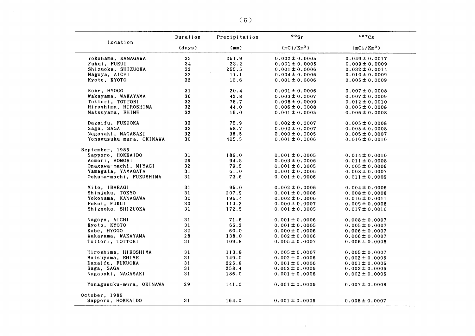| (mCi/Km <sup>2</sup> )<br>(mCi/Km <sup>2</sup> )<br>(days)<br>(mm)<br>33<br>251.9<br>$0.002 \pm 0.0005$<br>$0.049 \pm 0.0017$<br>34<br>23.2<br>$0.001 \pm 0.0005$<br>$0.009 \pm 0.0009$<br>Shizuoka, SHIZUOKA<br>32 <sub>2</sub><br>255.5<br>$0.001 \pm 0.0006$<br>$0.032 \pm 0.0014$<br>32<br>11.1<br>$0.004 \pm 0.0006$<br>$0.010 \pm 0.0009$<br>32<br>13.6<br>$0.001 \pm 0.0006$<br>$0.005 \pm 0.0009$<br>31<br>20.4<br>$0.001 \pm 0.0006$<br>$0.007 \pm 0.0008$<br>36<br>42.8<br>$0.003 \pm 0.0007$<br>$0.007 \pm 0.0009$<br>32<br>75.7<br>$0.008 \pm 0.0009$<br>$0.012 \pm 0.0010$<br>32<br>44.0<br>$0.006 \pm 0.0008$<br>$0.005 \pm 0.0008$<br>32<br>15.0<br>$0.001 \pm 0.0005$<br>$0.006 \pm 0.0008$<br>33<br>75.9<br>$0.002 \pm 0.0007$<br>$0.005 \pm 0.0008$<br>33<br>58.7<br>$0.002 \pm 0.0007$<br>$0.005 \pm 0.0008$<br>32<br>36.5<br>$0.000 \pm 0.0005$<br>$0.005 \pm 0.0007$<br>30<br>405.5<br>$0.001 \pm 0.0006$<br>$0.016 \pm 0.0010$<br>31<br>186.0<br>$0.001 \pm 0.0005$<br>$0.014 \pm 0.0010$<br>29<br>94.5<br>$0.003 \pm 0.0006$<br>$0.011 \pm 0.0008$<br>32<br>79.5<br>$0.001 \pm 0.0005$<br>$0.005 \pm 0.0006$<br>31<br>Yamagata, YAMAGATA<br>61.0<br>$0.001 \pm 0.0006$<br>$0.008 \pm 0.0007$<br>31<br>73.6<br>$0.001 \pm 0.0006$<br>$0.011 \pm 0.0009$<br>31<br>95.0<br>$0.002 \pm 0.0006$<br>$0.004 \pm 0.0006$<br>31<br>207.9<br>$0.001 \pm 0.0006$<br>$0.008 \pm 0.0008$<br>30<br>196.4<br>$0.002 \pm 0.0006$<br>$0.016 \pm 0.0011$<br>30<br>113.2<br>$0.000 \pm 0.0007$<br>$0.009 \pm 0.0008$<br>31<br>172.5<br>$0.001 \pm 0.0005$<br>$0.017 \pm 0.0010$<br>Nagoya, AICHI<br>31<br>71.6<br>$0.001 \pm 0.0006$<br>$0.008 \pm 0.0007$<br>31<br>66.2<br>$0.001 \pm 0.0005$<br>$0.005 \pm 0.0007$<br>32<br>60.0<br>$0.000 \pm 0.0006$<br>$0.006 \pm 0.0007$<br>28<br>Wakayama, WAKAYAMA<br>138.0<br>$0.002 \pm 0.0006$<br>$0.006 \pm 0.0007$<br>31<br>109.8<br>$0.005 \pm 0.0007$<br>$0.006 \pm 0.0008$<br>31<br>113.8<br>$0.005 \pm 0.0007$<br>$0.005 \pm 0.0007$<br>31<br>Matsuyama, EHIME<br>149.0<br>$0.002 \pm 0.0006$<br>$0.002 \pm 0.0006$<br>31<br>Dazaifu, FUKUOKA<br>225.8<br>$0.001 \pm 0.0006$<br>$0.001 \pm 0.0005$<br>31<br>Saga, SAGA<br>258.4<br>$0.002 \pm 0.0006$<br>$0.003 \pm 0.0006$<br>31<br>186.0<br>$0.001 \pm 0.0006$<br>$0.002 \pm 0.0006$<br>29<br>141.0<br>$0.001 \pm 0.0006$<br>$0.007 \pm 0.0008$<br>31<br>164.0<br>$0.001 \pm 0.0006$<br>$0.008 \pm 0.0007$ |                          | Duration | Precipitation | $\cdot$ $\cdot$ sr | 137Cs |
|-------------------------------------------------------------------------------------------------------------------------------------------------------------------------------------------------------------------------------------------------------------------------------------------------------------------------------------------------------------------------------------------------------------------------------------------------------------------------------------------------------------------------------------------------------------------------------------------------------------------------------------------------------------------------------------------------------------------------------------------------------------------------------------------------------------------------------------------------------------------------------------------------------------------------------------------------------------------------------------------------------------------------------------------------------------------------------------------------------------------------------------------------------------------------------------------------------------------------------------------------------------------------------------------------------------------------------------------------------------------------------------------------------------------------------------------------------------------------------------------------------------------------------------------------------------------------------------------------------------------------------------------------------------------------------------------------------------------------------------------------------------------------------------------------------------------------------------------------------------------------------------------------------------------------------------------------------------------------------------------------------------------------------------------------------------------------------------------------------------------------------------------------------------------------------------------------------------------------------------------------------------------------------------------------------------------------------------------------------------------------------------------------------------------|--------------------------|----------|---------------|--------------------|-------|
|                                                                                                                                                                                                                                                                                                                                                                                                                                                                                                                                                                                                                                                                                                                                                                                                                                                                                                                                                                                                                                                                                                                                                                                                                                                                                                                                                                                                                                                                                                                                                                                                                                                                                                                                                                                                                                                                                                                                                                                                                                                                                                                                                                                                                                                                                                                                                                                                                   | Location                 |          |               |                    |       |
|                                                                                                                                                                                                                                                                                                                                                                                                                                                                                                                                                                                                                                                                                                                                                                                                                                                                                                                                                                                                                                                                                                                                                                                                                                                                                                                                                                                                                                                                                                                                                                                                                                                                                                                                                                                                                                                                                                                                                                                                                                                                                                                                                                                                                                                                                                                                                                                                                   | Yokohama, KANAGAWA       |          |               |                    |       |
|                                                                                                                                                                                                                                                                                                                                                                                                                                                                                                                                                                                                                                                                                                                                                                                                                                                                                                                                                                                                                                                                                                                                                                                                                                                                                                                                                                                                                                                                                                                                                                                                                                                                                                                                                                                                                                                                                                                                                                                                                                                                                                                                                                                                                                                                                                                                                                                                                   | Fukui, FUKUI             |          |               |                    |       |
|                                                                                                                                                                                                                                                                                                                                                                                                                                                                                                                                                                                                                                                                                                                                                                                                                                                                                                                                                                                                                                                                                                                                                                                                                                                                                                                                                                                                                                                                                                                                                                                                                                                                                                                                                                                                                                                                                                                                                                                                                                                                                                                                                                                                                                                                                                                                                                                                                   |                          |          |               |                    |       |
|                                                                                                                                                                                                                                                                                                                                                                                                                                                                                                                                                                                                                                                                                                                                                                                                                                                                                                                                                                                                                                                                                                                                                                                                                                                                                                                                                                                                                                                                                                                                                                                                                                                                                                                                                                                                                                                                                                                                                                                                                                                                                                                                                                                                                                                                                                                                                                                                                   | Nagoya, AICHI            |          |               |                    |       |
|                                                                                                                                                                                                                                                                                                                                                                                                                                                                                                                                                                                                                                                                                                                                                                                                                                                                                                                                                                                                                                                                                                                                                                                                                                                                                                                                                                                                                                                                                                                                                                                                                                                                                                                                                                                                                                                                                                                                                                                                                                                                                                                                                                                                                                                                                                                                                                                                                   | Kyoto, KYOTO             |          |               |                    |       |
|                                                                                                                                                                                                                                                                                                                                                                                                                                                                                                                                                                                                                                                                                                                                                                                                                                                                                                                                                                                                                                                                                                                                                                                                                                                                                                                                                                                                                                                                                                                                                                                                                                                                                                                                                                                                                                                                                                                                                                                                                                                                                                                                                                                                                                                                                                                                                                                                                   | Kobe, HYOGO              |          |               |                    |       |
|                                                                                                                                                                                                                                                                                                                                                                                                                                                                                                                                                                                                                                                                                                                                                                                                                                                                                                                                                                                                                                                                                                                                                                                                                                                                                                                                                                                                                                                                                                                                                                                                                                                                                                                                                                                                                                                                                                                                                                                                                                                                                                                                                                                                                                                                                                                                                                                                                   | Wakayama, WAKAYAMA       |          |               |                    |       |
|                                                                                                                                                                                                                                                                                                                                                                                                                                                                                                                                                                                                                                                                                                                                                                                                                                                                                                                                                                                                                                                                                                                                                                                                                                                                                                                                                                                                                                                                                                                                                                                                                                                                                                                                                                                                                                                                                                                                                                                                                                                                                                                                                                                                                                                                                                                                                                                                                   | Tottori, TOTTORI         |          |               |                    |       |
|                                                                                                                                                                                                                                                                                                                                                                                                                                                                                                                                                                                                                                                                                                                                                                                                                                                                                                                                                                                                                                                                                                                                                                                                                                                                                                                                                                                                                                                                                                                                                                                                                                                                                                                                                                                                                                                                                                                                                                                                                                                                                                                                                                                                                                                                                                                                                                                                                   | Hiroshima, HIROSHIMA     |          |               |                    |       |
|                                                                                                                                                                                                                                                                                                                                                                                                                                                                                                                                                                                                                                                                                                                                                                                                                                                                                                                                                                                                                                                                                                                                                                                                                                                                                                                                                                                                                                                                                                                                                                                                                                                                                                                                                                                                                                                                                                                                                                                                                                                                                                                                                                                                                                                                                                                                                                                                                   | Matsuyama, EHIME         |          |               |                    |       |
|                                                                                                                                                                                                                                                                                                                                                                                                                                                                                                                                                                                                                                                                                                                                                                                                                                                                                                                                                                                                                                                                                                                                                                                                                                                                                                                                                                                                                                                                                                                                                                                                                                                                                                                                                                                                                                                                                                                                                                                                                                                                                                                                                                                                                                                                                                                                                                                                                   | Dazaifu, FUKUOKA         |          |               |                    |       |
|                                                                                                                                                                                                                                                                                                                                                                                                                                                                                                                                                                                                                                                                                                                                                                                                                                                                                                                                                                                                                                                                                                                                                                                                                                                                                                                                                                                                                                                                                                                                                                                                                                                                                                                                                                                                                                                                                                                                                                                                                                                                                                                                                                                                                                                                                                                                                                                                                   | Saga, SAGA               |          |               |                    |       |
|                                                                                                                                                                                                                                                                                                                                                                                                                                                                                                                                                                                                                                                                                                                                                                                                                                                                                                                                                                                                                                                                                                                                                                                                                                                                                                                                                                                                                                                                                                                                                                                                                                                                                                                                                                                                                                                                                                                                                                                                                                                                                                                                                                                                                                                                                                                                                                                                                   | Nagasaki, NAGASAKI       |          |               |                    |       |
|                                                                                                                                                                                                                                                                                                                                                                                                                                                                                                                                                                                                                                                                                                                                                                                                                                                                                                                                                                                                                                                                                                                                                                                                                                                                                                                                                                                                                                                                                                                                                                                                                                                                                                                                                                                                                                                                                                                                                                                                                                                                                                                                                                                                                                                                                                                                                                                                                   | Yonagusuku-mura, OKINAWA |          |               |                    |       |
|                                                                                                                                                                                                                                                                                                                                                                                                                                                                                                                                                                                                                                                                                                                                                                                                                                                                                                                                                                                                                                                                                                                                                                                                                                                                                                                                                                                                                                                                                                                                                                                                                                                                                                                                                                                                                                                                                                                                                                                                                                                                                                                                                                                                                                                                                                                                                                                                                   | September, 1986          |          |               |                    |       |
|                                                                                                                                                                                                                                                                                                                                                                                                                                                                                                                                                                                                                                                                                                                                                                                                                                                                                                                                                                                                                                                                                                                                                                                                                                                                                                                                                                                                                                                                                                                                                                                                                                                                                                                                                                                                                                                                                                                                                                                                                                                                                                                                                                                                                                                                                                                                                                                                                   | Sapporo, HOKKAIDO        |          |               |                    |       |
|                                                                                                                                                                                                                                                                                                                                                                                                                                                                                                                                                                                                                                                                                                                                                                                                                                                                                                                                                                                                                                                                                                                                                                                                                                                                                                                                                                                                                                                                                                                                                                                                                                                                                                                                                                                                                                                                                                                                                                                                                                                                                                                                                                                                                                                                                                                                                                                                                   | Aomori, AOMORI           |          |               |                    |       |
|                                                                                                                                                                                                                                                                                                                                                                                                                                                                                                                                                                                                                                                                                                                                                                                                                                                                                                                                                                                                                                                                                                                                                                                                                                                                                                                                                                                                                                                                                                                                                                                                                                                                                                                                                                                                                                                                                                                                                                                                                                                                                                                                                                                                                                                                                                                                                                                                                   | Onagawa-machi, MIYAGI    |          |               |                    |       |
|                                                                                                                                                                                                                                                                                                                                                                                                                                                                                                                                                                                                                                                                                                                                                                                                                                                                                                                                                                                                                                                                                                                                                                                                                                                                                                                                                                                                                                                                                                                                                                                                                                                                                                                                                                                                                                                                                                                                                                                                                                                                                                                                                                                                                                                                                                                                                                                                                   |                          |          |               |                    |       |
|                                                                                                                                                                                                                                                                                                                                                                                                                                                                                                                                                                                                                                                                                                                                                                                                                                                                                                                                                                                                                                                                                                                                                                                                                                                                                                                                                                                                                                                                                                                                                                                                                                                                                                                                                                                                                                                                                                                                                                                                                                                                                                                                                                                                                                                                                                                                                                                                                   | Ookuma-machi, FUKUSHIMA  |          |               |                    |       |
|                                                                                                                                                                                                                                                                                                                                                                                                                                                                                                                                                                                                                                                                                                                                                                                                                                                                                                                                                                                                                                                                                                                                                                                                                                                                                                                                                                                                                                                                                                                                                                                                                                                                                                                                                                                                                                                                                                                                                                                                                                                                                                                                                                                                                                                                                                                                                                                                                   | Mito, IBARAGI            |          |               |                    |       |
|                                                                                                                                                                                                                                                                                                                                                                                                                                                                                                                                                                                                                                                                                                                                                                                                                                                                                                                                                                                                                                                                                                                                                                                                                                                                                                                                                                                                                                                                                                                                                                                                                                                                                                                                                                                                                                                                                                                                                                                                                                                                                                                                                                                                                                                                                                                                                                                                                   | Shinjuku, TOKYO          |          |               |                    |       |
|                                                                                                                                                                                                                                                                                                                                                                                                                                                                                                                                                                                                                                                                                                                                                                                                                                                                                                                                                                                                                                                                                                                                                                                                                                                                                                                                                                                                                                                                                                                                                                                                                                                                                                                                                                                                                                                                                                                                                                                                                                                                                                                                                                                                                                                                                                                                                                                                                   | Yokohama, KANAGAWA       |          |               |                    |       |
|                                                                                                                                                                                                                                                                                                                                                                                                                                                                                                                                                                                                                                                                                                                                                                                                                                                                                                                                                                                                                                                                                                                                                                                                                                                                                                                                                                                                                                                                                                                                                                                                                                                                                                                                                                                                                                                                                                                                                                                                                                                                                                                                                                                                                                                                                                                                                                                                                   | Fukui, FUKUI             |          |               |                    |       |
|                                                                                                                                                                                                                                                                                                                                                                                                                                                                                                                                                                                                                                                                                                                                                                                                                                                                                                                                                                                                                                                                                                                                                                                                                                                                                                                                                                                                                                                                                                                                                                                                                                                                                                                                                                                                                                                                                                                                                                                                                                                                                                                                                                                                                                                                                                                                                                                                                   | Shizuoka, SHIZUOKA       |          |               |                    |       |
|                                                                                                                                                                                                                                                                                                                                                                                                                                                                                                                                                                                                                                                                                                                                                                                                                                                                                                                                                                                                                                                                                                                                                                                                                                                                                                                                                                                                                                                                                                                                                                                                                                                                                                                                                                                                                                                                                                                                                                                                                                                                                                                                                                                                                                                                                                                                                                                                                   |                          |          |               |                    |       |
|                                                                                                                                                                                                                                                                                                                                                                                                                                                                                                                                                                                                                                                                                                                                                                                                                                                                                                                                                                                                                                                                                                                                                                                                                                                                                                                                                                                                                                                                                                                                                                                                                                                                                                                                                                                                                                                                                                                                                                                                                                                                                                                                                                                                                                                                                                                                                                                                                   | Kyoto, KYOTO             |          |               |                    |       |
|                                                                                                                                                                                                                                                                                                                                                                                                                                                                                                                                                                                                                                                                                                                                                                                                                                                                                                                                                                                                                                                                                                                                                                                                                                                                                                                                                                                                                                                                                                                                                                                                                                                                                                                                                                                                                                                                                                                                                                                                                                                                                                                                                                                                                                                                                                                                                                                                                   | Kobe, HYOGO              |          |               |                    |       |
|                                                                                                                                                                                                                                                                                                                                                                                                                                                                                                                                                                                                                                                                                                                                                                                                                                                                                                                                                                                                                                                                                                                                                                                                                                                                                                                                                                                                                                                                                                                                                                                                                                                                                                                                                                                                                                                                                                                                                                                                                                                                                                                                                                                                                                                                                                                                                                                                                   |                          |          |               |                    |       |
|                                                                                                                                                                                                                                                                                                                                                                                                                                                                                                                                                                                                                                                                                                                                                                                                                                                                                                                                                                                                                                                                                                                                                                                                                                                                                                                                                                                                                                                                                                                                                                                                                                                                                                                                                                                                                                                                                                                                                                                                                                                                                                                                                                                                                                                                                                                                                                                                                   | Tottori, TOTTORI         |          |               |                    |       |
|                                                                                                                                                                                                                                                                                                                                                                                                                                                                                                                                                                                                                                                                                                                                                                                                                                                                                                                                                                                                                                                                                                                                                                                                                                                                                                                                                                                                                                                                                                                                                                                                                                                                                                                                                                                                                                                                                                                                                                                                                                                                                                                                                                                                                                                                                                                                                                                                                   | Hiroshima, HIROSHIMA     |          |               |                    |       |
|                                                                                                                                                                                                                                                                                                                                                                                                                                                                                                                                                                                                                                                                                                                                                                                                                                                                                                                                                                                                                                                                                                                                                                                                                                                                                                                                                                                                                                                                                                                                                                                                                                                                                                                                                                                                                                                                                                                                                                                                                                                                                                                                                                                                                                                                                                                                                                                                                   |                          |          |               |                    |       |
|                                                                                                                                                                                                                                                                                                                                                                                                                                                                                                                                                                                                                                                                                                                                                                                                                                                                                                                                                                                                                                                                                                                                                                                                                                                                                                                                                                                                                                                                                                                                                                                                                                                                                                                                                                                                                                                                                                                                                                                                                                                                                                                                                                                                                                                                                                                                                                                                                   |                          |          |               |                    |       |
|                                                                                                                                                                                                                                                                                                                                                                                                                                                                                                                                                                                                                                                                                                                                                                                                                                                                                                                                                                                                                                                                                                                                                                                                                                                                                                                                                                                                                                                                                                                                                                                                                                                                                                                                                                                                                                                                                                                                                                                                                                                                                                                                                                                                                                                                                                                                                                                                                   |                          |          |               |                    |       |
|                                                                                                                                                                                                                                                                                                                                                                                                                                                                                                                                                                                                                                                                                                                                                                                                                                                                                                                                                                                                                                                                                                                                                                                                                                                                                                                                                                                                                                                                                                                                                                                                                                                                                                                                                                                                                                                                                                                                                                                                                                                                                                                                                                                                                                                                                                                                                                                                                   | Nagasaki, NAGASAKI       |          |               |                    |       |
|                                                                                                                                                                                                                                                                                                                                                                                                                                                                                                                                                                                                                                                                                                                                                                                                                                                                                                                                                                                                                                                                                                                                                                                                                                                                                                                                                                                                                                                                                                                                                                                                                                                                                                                                                                                                                                                                                                                                                                                                                                                                                                                                                                                                                                                                                                                                                                                                                   | Yonagusuku-mura, OKINAWA |          |               |                    |       |
|                                                                                                                                                                                                                                                                                                                                                                                                                                                                                                                                                                                                                                                                                                                                                                                                                                                                                                                                                                                                                                                                                                                                                                                                                                                                                                                                                                                                                                                                                                                                                                                                                                                                                                                                                                                                                                                                                                                                                                                                                                                                                                                                                                                                                                                                                                                                                                                                                   | October, 1986            |          |               |                    |       |
|                                                                                                                                                                                                                                                                                                                                                                                                                                                                                                                                                                                                                                                                                                                                                                                                                                                                                                                                                                                                                                                                                                                                                                                                                                                                                                                                                                                                                                                                                                                                                                                                                                                                                                                                                                                                                                                                                                                                                                                                                                                                                                                                                                                                                                                                                                                                                                                                                   | Sapporo, HOKKAIDO        |          |               |                    |       |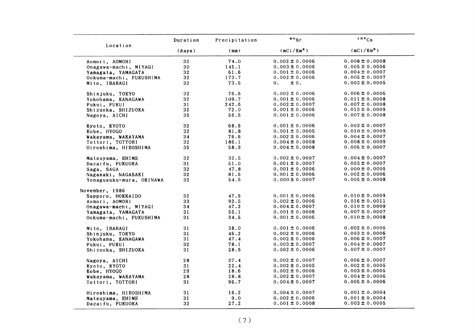|                                        | Duration        | Precipitation | $\cdot \cdot$          | 137Cs                  |
|----------------------------------------|-----------------|---------------|------------------------|------------------------|
| Location                               | (days)          | (mm)          | (mCi/Km <sup>2</sup> ) | (mCi/Km <sup>2</sup> ) |
| Aomori, AOMORI                         | 32 <sub>2</sub> | 74.0          | $0.002 \pm 0.0006$     | $0.008 \pm 0.0008$     |
| Onagawa-machi, MIYAGI                  | 30              | 145.1         | $0.003 \pm 0.0006$     | $0.005 \pm 0.0006$     |
| Yamagata, YAMAGATA                     | 32              | 61.6          | $0.001 \pm 0.0006$     | $0.004 \pm 0.0007$     |
| Ookuma-machi, FUKUSHIMA                | 32              | 173.7         | $0.002 \pm 0.0006$     | $0.005 \pm 0.0007$     |
| Mito, IBARAGI                          | 32 <sub>2</sub> | 73.5          | ± 0.<br>$\mathbf{0}$ . | $0.003 \pm 0.0005$     |
| Shinjuku, TOKYO                        | 32              | 76.5          | $0.002 \pm 0.0006$     | $0.006 \pm 0.0006$     |
| Yokohama, KANAGAWA                     | 32              | 109.7         | $0.001 \pm 0.0006$     | $0.011 \pm 0.0008$     |
| Fukui, FUKUI                           | 31              | 242.6         | $0.002 \pm 0.0007$     | $0.007 \pm 0.0008$     |
| Shizuoka, SHIZUOKA                     | 32              | 72.0          | $0.001 \pm 0.0006$     | $0.013 \pm 0.0009$     |
| Nagoya, AICHI                          | 35              | 56.5          | $0.001 \pm 0.0006$     | $0.007 \pm 0.0008$     |
|                                        | 32              | 68.5          | $0.001 \pm 0.0006$     | $0.003 \pm 0.0007$     |
| Kyoto, KYOTO                           |                 |               |                        |                        |
| Kobe, HYOGO                            | 32              | 81.8          | $0.001 \pm 0.0005$     | $0.010 \pm 0.0009$     |
| Wakayama, WAKAYAMA                     | 34              | 76.6          | $0.002 \pm 0.0006$     | $0.004 \pm 0.0007$     |
| Tottori, TOTTORI                       | 32              | 186.1         | $0.004 \pm 0.0008$     | $0.008 \pm 0.0009$     |
| Hiroshima, HIROSHIMA                   | 35              | 58.9          | $0.004 \pm 0.0008$     | $0.005 \pm 0.0007$     |
| Matsuyama, EHIME                       | 32              | 32.5          | $0.002 \pm 0.0007$     | $0.004 \pm 0.0007$     |
| Dazaifu, FUKUOKA                       | 31              | 51.0          | $0.001 \pm 0.0007$     | $0.003 \pm 0.0007$     |
| Saga, SAGA                             | 32 <sub>2</sub> | 47.8          | $0.001 \pm 0.0006$     | $0.000 \pm 0.0005$     |
| Nagasaki, NAGASAKI                     | 32              | 81.5          | $0.001 \pm 0.0006$     | $0.002 \pm 0.0006$     |
| Yonagusuku-mura, OKINAWA               | 32              | 54.5          | $0.000 \pm 0.0007$     | $0.005 \pm 0.0008$     |
| November, 1986                         |                 |               |                        |                        |
| Sapporo, HOKKAIDO                      | 32              | 47.5          | $0.001 \pm 0.0006$     | $0.010 \pm 0.0009$     |
| Aomori, AOMORI                         | 33              | 92.5          | $0.002 \pm 0.0006$     | $0.016 \pm 0.0011$     |
| Onagawa-machi, MIYAGI                  | 34              | 47.2          | $0.004 \pm 0.0007$     | $0.010 \pm 0.0009$     |
| Yamagata, YAMAGATA                     | 31              | 55.1          | $0.001 \pm 0.0006$     | $0.007 \pm 0.0007$     |
| Ookuma-machi, FUKUSHIMA                | 31              | 34.5          | $0.001 \pm 0.0006$     | $0.010 \pm 0.0008$     |
| Mito, IBARAGI                          | 31              | 38.0          | $0.001 \pm 0.0006$     | $0.002 \pm 0.0005$     |
| Shinjuku, TOKYO                        | 31              | 46.2          | $0.002 \pm 0.0006$     | $0.003 \pm 0.0006$     |
| Yokohama, KANAGAWA                     | 31              | 47.4          | $0.002 \pm 0.0006$     | $0.006 \pm 0.0007$     |
| Fukui, FUKUI                           | 32              | 78.1          | $0.003 \pm 0.0007$     | $0.004 \pm 0.0007$     |
| Shizuoka, SHIZUOKA                     | 31              | 28.5          | $0.002 \pm 0.0006$     | $0.007 \pm 0.0007$     |
|                                        | 28              | 37.4          | $0.002 \pm 0.0007$     | $0.006 \pm 0.0007$     |
| Nagoya, AICHI                          |                 |               | $0.002 \pm 0.0005$     | $0.002 \pm 0.0005$     |
| Kyoto, KYOTO                           | 31              | 22.4          | $0.002 \pm 0.0006$     | $0.003 \pm 0.0005$     |
| Kobe, HYOGO                            | 29              | 18.6<br>28.8  | $0.002 \pm 0.0007$     | $0.004 \pm 0.0006$     |
| Wakayama, WAKAYAMA<br>Tottori, TOTTORI | 28<br>31        | 96.7          | $0.004 \pm 0.0007$     | $0.005 \pm 0.0006$     |
|                                        |                 |               |                        |                        |
| Hiroshima, HIROSHIMA                   | 31              | 16.2          | $0.004 \pm 0.0007$     | $0.001 \pm 0.0004$     |
| Matsuyama, EHIME                       | 31              | 9.0           | $0.002 \pm 0.0006$     | $0.001 \pm 0.0004$     |
| Dazaifu, FUKUOKA                       | 32              | 27.2          | $0.001 \pm 0.0008$     | $0.003 \pm 0.0005$     |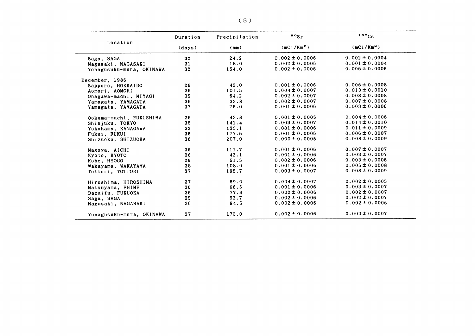|                          | Duration | Precipitation | $\bullet$ $\circ$ Sr   | 137Cs                  |  |
|--------------------------|----------|---------------|------------------------|------------------------|--|
| Location                 | (days)   | (mm)          | (mCi/Km <sup>2</sup> ) | (mCi/Km <sup>2</sup> ) |  |
| Saga, SAGA               | 32       | 24.2          | $0.002 \pm 0.0006$     | $0.002 \pm 0.0004$     |  |
| Nagasaki, NAGASAKI       | 31       | 18.0          | $0.002 \pm 0.0006$     | $0.001 \pm 0.0004$     |  |
| Yonagusuku-mura, OKINAWA | 32       | 154.0         | $0.002 \pm 0.0006$     | $0.006 \pm 0.0006$     |  |
| December, 1986           |          |               |                        |                        |  |
| Sapporo, HOKKAIDO        | 26       | 43.0          | $0.001 \pm 0.0006$     | $0.006 \pm 0.0008$     |  |
| Aomori, AOMORI           | 36       | 101.5         | $0.004 \pm 0.0007$     | $0.013 \pm 0.0010$     |  |
| Onagawa-machi, MIYAGI    | 35       | 64.2          | $0.002 \pm 0.0007$     | $0.008 \pm 0.0008$     |  |
| Yamagata, YAMAGATA       | 36       | 33.8          | $0.002 \pm 0.0007$     | $0.007 \pm 0.0008$     |  |
| Yamagata, YAMAGATA       | 37       | 76.0          | $0.001 \pm 0.0006$     | $0.003 \pm 0.0006$     |  |
| Ookuma-machi, FUKUSHIMA  | 26       | 43.8          | $0.001 \pm 0.0005$     | $0.004 \pm 0.0006$     |  |
| Shinjuku, TOKYO          | 36       | 141.4         | $0.003 \pm 0.0007$     | $0.014 \pm 0.0010$     |  |
| Yokohama, KANAGAWA       | 32       | 133.1         | $0.001 \pm 0.0006$     | $0.011 \pm 0.0009$     |  |
| Fukui, FUKUI             | 36       | 177.6         | $0.001 \pm 0.0006$     | $0.006 \pm 0.0007$     |  |
| Shizuoka, SHIZUOKA       | 36       | 207.0         | $0.000 \pm 0.0005$     | $0.008 \pm 0.0009$     |  |
| Nagoya, AICHI            | 36       | 111.7         | $0.001 \pm 0.0006$     | $0.007 \pm 0.0007$     |  |
| Kyoto, KYOTO             | 36       | 42.1          | $0.001 \pm 0.0006$     | $0.003 \pm 0.0007$     |  |
| Kobe, HYOGO              | 29       | 61.5          | $0.002 \pm 0.0006$     | $0.003 \pm 0.0006$     |  |
| Wakayama, WAKAYAMA       | 38       | 108.0         | $0.001 \pm 0.0006$     | $0.005 \pm 0.0008$     |  |
| Tottori, TOTTORI         | 37       | 195.7         | $0.003 \pm 0.0007$     | $0.008 \pm 0.0009$     |  |
| Hiroshima, HIROSHIMA     | 37       | 69.0          | $0.004 \pm 0.0007$     | $0.002 \pm 0.0005$     |  |
| Matsuyama, EHIME         | 36       | 66.5          | $0.001 \pm 0.0006$     | $0.003 \pm 0.0007$     |  |
| Dazaifu, FUKUOKA         | 36       | 77.4          | $0.002 \pm 0.0006$     | $0.002 \pm 0.0007$     |  |
| Saga, SAGA               | 35       | 92.7          | $0.002 \pm 0.0006$     | $0.002 \pm 0.0007$     |  |
| Nagasaki, NAGASAKI       | 36       | 94.5          | $0.002 \pm 0.0006$     | $0.002 \pm 0.0006$     |  |
| Yonagusuku-mura, OKINAWA | 37       | 173.0         | $0.002 \pm 0.0006$     | $0.003 \pm 0.0007$     |  |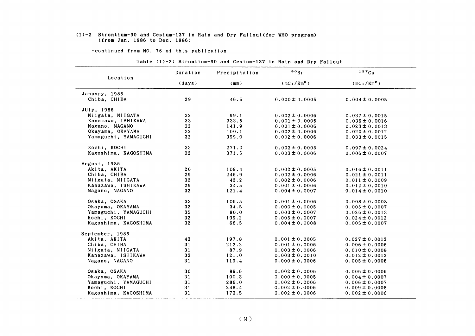#### (1)-2 Strontium-90 and Cesium-137in Rain and Dry Fallout(for VHO program) (from Jan.1986 to Dec.1986)

-COntinued from NO.76 0f this publication-

|                      | Duration | Precipitation | $\frac{80}{5}$         | 137Cs                  |  |
|----------------------|----------|---------------|------------------------|------------------------|--|
| Location             | (days)   | (mm)          | (mCi/Km <sup>2</sup> ) | (mCi/Km <sup>2</sup> ) |  |
| January, 1986        |          |               |                        |                        |  |
| Chiba, CHIBA         | 29       | 46.5          | $0.000 \pm 0.0005$     | $0.004 \pm 0.0005$     |  |
| JUly, 1986           |          |               |                        |                        |  |
| Niigata, NIIGATA     | 32       | 99.1          | $0.002 \pm 0.0006$     | $0.037 \pm 0.0015$     |  |
| Kanazawa, ISHIKAWA   | 33       | 333.5         | $0.001 \pm 0.0006$     | $0.036 \pm 0.0016$     |  |
| Nagano, NAGANO       | 32       | 141.9         | $0.001 \pm 0.0006$     | $0.023 \pm 0.0013$     |  |
| Okayama, OKAYAMA     | 32       | 100.1         | $0.002 \pm 0.0006$     | $0.020 \pm 0.0012$     |  |
| Yamaguchi, YAMAGUCHI | 32       | 399.0         | $0.002 \pm 0.0006$     | $0.033 \pm 0.0015$     |  |
| Kochi, KOCHI         | 33       | 271.0         | $0.003 \pm 0.0006$     | $0.097 \pm 0.0024$     |  |
| Kagoshima, KAGOSHIMA | 32       | 371.5         | $0.003 \pm 0.0006$     | $0.006 \pm 0.0007$     |  |
| August, 1986         |          |               |                        |                        |  |
| Akita, AKITA         | 20       | 109.4         | $0.002 \pm 0.0005$     | $0.016 \pm 0.0011$     |  |
| Chiba, CHIBA         | 29       | 246.9         | $0.002 \pm 0.0006$     | $0.021 \pm 0.0011$     |  |
| Niigata, NIIGATA     | 32       | 42.2          | $0.002 \pm 0.0006$     | $0.011 \pm 0.0009$     |  |
| Kanazawa, ISHIKAWA   | 29       | 34.5          | $0.001 \pm 0.0006$     | $0.012 \pm 0.0010$     |  |
| Nagano, NAGANO       | 32       | 121.4         | $0.004 \pm 0.0007$     | $0.014 \pm 0.0010$     |  |
| Osaka, OSAKA         | 33       | 105.5         | $0.001 \pm 0.0006$     | $0.008 \pm 0.0008$     |  |
| Okayama, OKAYAMA     | 32       | 34.5          | $0.000 \pm 0.0005$     | $0.005 \pm 0.0007$     |  |
| Yamaguchi, YAMAGUCHI | 33       | 80.0          | $0.003 \pm 0.0007$     | $0.026 \pm 0.0013$     |  |
| Kochi, KOCHI         | 32       | 199.2         | $0.005 \pm 0.0007$     | $0.024 \pm 0.0012$     |  |
| Kagoshima, KAGOSHIMA | 32       | 66.5          | $0.004 \pm 0.0008$     | $0.005 \pm 0.0007$     |  |
| September, 1986      |          |               |                        |                        |  |
| Akita, AKITA         | 43       | 197.8         | $0.001 \pm 0.0005$     | $0.027 \pm 0.0012$     |  |
| Chiba, CHIBA         | 31       | 212.2         | $0.001 \pm 0.0006$     | $0.006 \pm 0.0006$     |  |
| Niigata, NIIGATA     | 31       | 87.9          | $0.003 \pm 0.0006$     | $0.010 \pm 0.0008$     |  |
| Kanazawa, ISHIKAWA   | 33       | 121.0         | $0.003 \pm 0.0010$     | $0.012 \pm 0.0012$     |  |
| Nagano, NAGANO       | 31       | 119.4         | $0.000 \pm 0.0006$     | $0.005 \pm 0.0006$     |  |
| Osaka, OSAKA         | 30       | 89.6          | $0.002 \pm 0.0006$     | $0.006 \pm 0.0006$     |  |
| Okayama, OKAYAMA     | 31       | 100.3         | $0.000 \pm 0.0005$     | $0.004 \pm 0.0007$     |  |
| Yamaguchi, YAMAGUCHI | 31       | 286.0         | $0.002 \pm 0.0006$     | $0.006 \pm 0.0007$     |  |
| Kochi, KOCHI         | 31       | 248.4         | $0.002 \pm 0.0006$     | $0.009 \pm 0.0008$     |  |
| Kagoshima, KAGOSHIMA | 31       | 173.5         | $0.002 \pm 0.0006$     | $0.002 \pm 0.0006$     |  |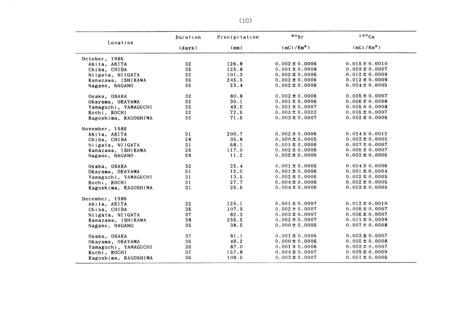|                      | Duration        | Precipitation | $\cdot \cdot$          | 137Cs                  |
|----------------------|-----------------|---------------|------------------------|------------------------|
| Location             | (days)          | (mn)          | (mCi/Km <sup>2</sup> ) | (mCi/Km <sup>2</sup> ) |
| October, 1986        |                 |               |                        |                        |
| Akita, AKITA         | 32              | 126.8         | $0.002 \pm 0.0006$     | $0.015 \pm 0.0010$     |
| Chiba, CHIBA         | 35              | 125.8         | $0.001 \pm 0.0008$     | $0.003 \pm 0.0007$     |
| Niigata, NIIGATA     | 32 <sub>2</sub> | 101.3         | $0.002 \pm 0.0006$     | $0.012 \pm 0.0009$     |
| Kanazawa, ISHIKAWA   | 36              | 245.5         | $0.002 \pm 0.0006$     | $0.012 \pm 0.0009$     |
| Nagano, NAGANO       | 35              | 23.4          | $0.002 \pm 0.0006$     | $0.004 \pm 0.0005$     |
| Osaka, OSAKA         | 32              | 80.8          | $0.002 \pm 0.0006$     | $0.005 \pm 0.0007$     |
| Okayama, OKAYAMA     | 32 <sub>2</sub> | 30.1          | $0.001 \pm 0.0006$     | $0.006 \pm 0.0008$     |
| Yamaguchi, YAMAGUCHI | 32              | 49.5          | $0.001 \pm 0.0007$     | $0.005 \pm 0.0008$     |
| Kochi, KOCHI         | 32 <sub>2</sub> | 72.5          | $0.003 \pm 0.0022$     | $0.005 \pm 0.0007$     |
| Kagoshima, KAGOSHIMA | 32              | 71.5          | $0.003 \pm 0.0007$     | $0.002 \pm 0.0006$     |
| November, 1986       |                 |               |                        |                        |
| Akita, AKITA         | 31              | 200.7         | $0.002 \pm 0.0006$     | $0.024 \pm 0.0012$     |
| Chiba, CHIBA         | 28              | 35.8          | $0.000 \pm 0.0005$     | $0.003 \pm 0.0005$     |
| Niigata, NIIGATA     | 31              | 68.1          | $0.001 \pm 0.0006$     | $0.007 \pm 0.0007$     |
| Kanazawa, ISHIKAWA   | 26              | 117.0         | $0.002 \pm 0.0006$     | $0.005 \pm 0.0007$     |
| Nagano, NAGANO       | 28              | 11.2          | $0.002 \pm 0.0006$     | $0.003 \pm 0.0006$     |
| Osaka, OSAKA         | 32              | 25.4          | $0.001 \pm 0.0005$     | $0.004 \pm 0.0006$     |
| Okayama, OKAYAMA     | 31              | 12.0          | $0.001 \pm 0.0006$     | $0.001 \pm 0.0004$     |
| Yamaguchi, YAMAGUCHI | 31              | 13.5          | $0.002 \pm 0.0006$     | $0.002 \pm 0.0005$     |
| Kochi, KOCHI         | 31              | 27.7          | $0.004 \pm 0.0006$     | $0.002 \pm 0.0005$     |
| Kagoshima, KAGOSHIMA | 31              | 26.5          | $0.004 \pm 0.0006$     | $0.003 \pm 0.0005$     |
| December, 1986       |                 |               |                        |                        |
| Akita, AKITA         | 32 <sub>2</sub> | 125.1         | $0.001 \pm 0.0007$     | $0.012 \pm 0.0010$     |
| Chiba, CHIBA         | 36              | 107.9         | $0.002 \pm 0.0007$     | $0.005 \pm 0.0007$     |
| Niigata, NIIGATA     | 37              | 82.3          | $0.003 \pm 0.0007$     | $0.006 \pm 0.0007$     |
| Kanazawa, ISHIKAWA   | 38              | 256.5         | $0.002 \pm 0.0007$     | $0.011 \pm 0.0009$     |
| Nagano, NAGANO       | 35              | 38.5          | $0.000 \pm 0.0005$     | $0.007 \pm 0.0008$     |
| Osaka, OSAKA         | 37              | 81.1          | $0.001 \pm 0.0006$     | $0.003 \pm 0.0007$     |
| Okayama, OKAYAMA     | 36              | 49.2          | $0.000 \pm 0.0006$     | $0.005 \pm 0.0008$     |
| Yamaguchi, YAMAGUCHI | 36              | 87.0          | $0.001 \pm 0.0006$     | $0.003 \pm 0.0007$     |
| Kochi, KOCHI         | 37              | 157.8         | $0.004 \pm 0.0007$     | $0.009 \pm 0.0009$     |
| Kagoshima, KAGOSHIMA | 36              | 109.5         | $0.003 \pm 0.0007$     | $0.001 \pm 0.0006$     |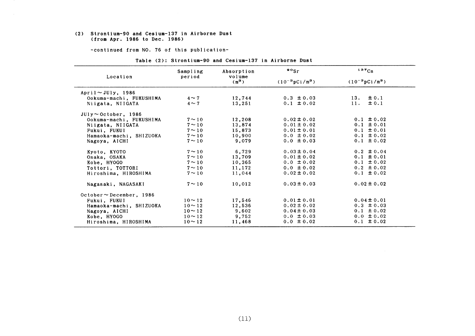#### (2) Strontium-90 and Cesium-137 in Airborne Dust (from Apr.1986 to Dec.1986)

-COntinued from NO.76 0f this publication-

| Location                      | Sampling<br>period | Absorption<br>volume | $\frac{80}{5}$             | 137Cs                      |
|-------------------------------|--------------------|----------------------|----------------------------|----------------------------|
|                               |                    | $(m^3)$              | $(10^{-3} \text{pCi/m}^3)$ | $(10^{-3} \text{pCi/m}^3)$ |
| April $\sim$ JUly, 1986       |                    |                      |                            |                            |
| Ookuma-machi, FUKUSHIMA       | $4 \sim 7$         | 12,744               | $0.3 \pm 0.03$             | $\pm 0.1$<br>13.           |
| Niigata, NIIGATA              | $4 \sim 7$         | 13,251               | $0.1 \pm 0.02$             | $\pm 0.1$<br>11.           |
| $JUly \sim$ October, 1986     |                    |                      |                            |                            |
| Ookuma-machi, FUKUSHIMA       | $7 \sim 10$        | 12,208               | $0.02 \pm 0.02$            | $0.1 \pm 0.02$             |
| Niigata, NIIGATA              | $7 \sim 10$        | 13,874               | $0.01 \pm 0.02$            | $0.1 \pm 0.01$             |
| Fukui. FUKUI                  | $7 \sim 10$        | 15,873               | $0.01 \pm 0.01$            | $0.1 \pm 0.01$             |
| Hamaoka-machi, SHIZUOKA       | $7 \sim 10$        | 10,900               | $0.0 \pm 0.02$             | $0.1 \pm 0.02$             |
| Nagoya, AICHI                 | $7 \sim 10$        | 9,079                | $0.0 \pm 0.03$             | $0.1 \pm 0.02$             |
| Kyoto, KYOTO                  | $7 \sim 10$        | 6,729                | $0.03 \pm 0.04$            | $0.2 \pm 0.04$             |
| Osaka, OSAKA                  | $7 \sim 10$        | 13,709               | $0.01 \pm 0.02$            | $0.1 \pm 0.01$             |
| Kobe, HYOGO                   | $7 \sim 10$        | 10,365               | $0.0 \pm 0.02$             | $0.1 \pm 0.02$             |
| Tottori, TOTTORI              | $7 \sim 10$        | 11,172               | $0.0 \pm 0.02$             | $0.2 \pm 0.02$             |
| Hiroshima, HIROSHIMA          | $7 \sim 10$        | 11,044               | $0.02 \pm 0.02$            | $0.1 \pm 0.02$             |
| Nagasaki, NAGASAKI            | $7 \sim 10$        | 10,012               | $0.03 \pm 0.03$            | $0.02 \pm 0.02$            |
| $October \sim December, 1986$ |                    |                      |                            |                            |
| Fukui, FUKUI                  | $10 \sim 12$       | 17.546               | $0.01 \pm 0.01$            | $0.04 \pm 0.01$            |
| Hamaoka-machi, SHIZUOKA       | $10 \sim 12$       | 12,536               | $0.02 \pm 0.02$            | $0.3 \pm 0.03$             |
| Nagoya, AICHI                 | $10 \sim 12$       | 9,602                | $0.04 \pm 0.03$            | $0.1 \pm 0.02$             |
| Kobe, HYOGO                   | $10 \sim 12$       | 9,752                | $0.0 \pm 0.03$             | $0.0 \pm 0.02$             |
| Hiroshima, HIROSHIMA          | $10 \sim 12$       | 11,468               | $0.0 \pm 0.02$             | $0.1 \pm 0.02$             |

#### Table (2): Strontium-90 and Cesium-137 in Airborne Dust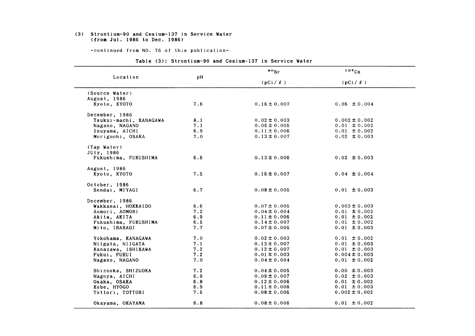#### (3) Strontium-90 and Cesium-137in Service Water (from Jul.1986 to Dee.1986)

-COntinued from NO.76 0f this publication-

|                        |     | $\cdot$ $\cdot$ sr | 137Cs             |
|------------------------|-----|--------------------|-------------------|
| Location               | pH  | $(pCi / \ell)$     | $(pCi / \ell)$    |
| (Source Water)         |     |                    |                   |
| August, 1986           |     |                    |                   |
| Kyoto, KYOTO           | 7.6 | $0.16 \pm 0.007$   | $0.06 \pm 0.004$  |
| December, 1986         |     |                    |                   |
| Tsukui-machi, KANAGAWA | 8.1 | $0.02 \pm 0.003$   | $0.002 \pm 0.002$ |
| Nagano, NAGANO         | 7.1 | $0.05 \pm 0.005$   | $0.01 \pm 0.002$  |
| Inuyama, AICHI         | 6.9 | $0.11 \pm 0.006$   | $0.01 \pm 0.002$  |
| Moriguchi, OSAKA       | 7.0 | $0.13 \pm 0.007$   | $0.02 \pm 0.003$  |
| (Tap Water)            |     |                    |                   |
| JUly, 1986             |     |                    |                   |
| Fukushima, FUKUSHIMA   | 6.6 | $0.13 \pm 0.006$   | $0.02 \pm 0.003$  |
| August, 1986           |     |                    |                   |
| Kyoto, KYOTO           | 7.5 | $0.16 \pm 0.007$   | $0.04 \pm 0.004$  |
| October, 1986          |     |                    |                   |
| Sendai, MIYAGI         | 6.7 | $0.08 \pm 0.005$   | $0.01 \pm 0.003$  |
| December, 1986         |     |                    |                   |
| Wakkanai, HOKKAIDO     | 6.6 | $0.07 \pm 0.005$   | $0.003 \pm 0.003$ |
| Aomori, AOMORI         | 7.2 | $0.04 \pm 0.004$   | $0.01 \pm 0.002$  |
| Akita, AKITA           | 6.9 | $0.11 \pm 0.006$   | $0.01 \pm 0.002$  |
| Fukushima, FUKUSHIMA   | 6.5 | $0.14 \pm 0.007$   | $0.01 \pm 0.002$  |
| Mito, IBARAGI          | 7.7 | $0.07 \pm 0.005$   | $0.01 \pm 0.003$  |
| Yokohama, KANAGAWA     | 7.0 | $0.02 \pm 0.003$   | $0.01 \pm 0.002$  |
| Niigata, NIIGATA       | 7.1 | $0.13 \pm 0.007$   | $0.01 \pm 0.003$  |
| Kanazawa, ISHIKAWA     | 7.2 | $0.12 \pm 0.007$   | $0.01 \pm 0.003$  |
| Fukui, FUKUI           | 7.2 | $0.01 \pm 0.003$   | $0.004 \pm 0.003$ |
| Nagano, NAGANO         | 7.0 | $0.04 \pm 0.004$   | $0.01 \pm 0.002$  |
| Shizuoka, SHIZUOKA     | 7.2 | $0.04 \pm 0.005$   | $0.00 \pm 0.003$  |
| Nagoya, AICHI          | 6.9 | $0.09 \pm 0.007$   | $0.02 \pm 0.003$  |
| Osaka, OSAKA           | 6.8 | $0.12 \pm 0.006$   | $0.01 \pm 0.002$  |
| Kobe, HYOGO            | 6.9 | $0.11 \pm 0.006$   | $0.01 \pm 0.003$  |
| Tottori, TOTTORI       | 7.5 | $0.08 \pm 0.006$   | $0.002 \pm 0.002$ |
| Okayama, OKAYAMA       | 6.8 | $0.08 \pm 0.006$   | $0.01 \pm 0.002$  |

#### Table (3): Strontium-90 and Cesium-137 in Service Water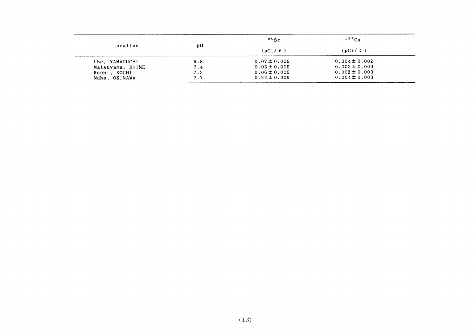|                  |     | $\cdot \cdot$ sr | $137C_S$          |  |
|------------------|-----|------------------|-------------------|--|
| Location         | рH  | $(pCi / \ell)$   | $(pCi / \ell)$    |  |
| Ube. YAMAGUCHI   | 6.8 | $0.07 \pm 0.006$ | $0.004 \pm 0.002$ |  |
| Matsuyama, EHIME | 7.4 | $0.05 \pm 0.005$ | $0.003 \pm 0.003$ |  |
| Kochi, KOCHI     | 7.3 | $0.06 \pm 0.005$ | $0.002 \pm 0.003$ |  |
| Naha, OKINAWA    | 7.7 | $0.22 \pm 0.009$ | $0.004 \pm 0.003$ |  |
|                  |     |                  |                   |  |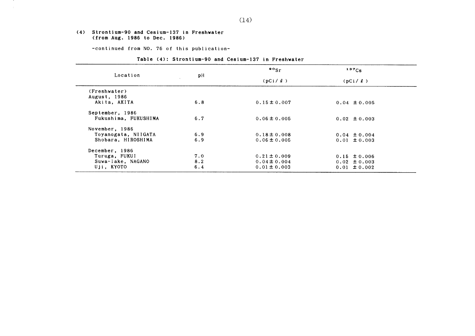#### (4) Strontium-90 and Cesium-137in Freshvater (from Aug.1986 to Dee.1986)

-continued from NO. 76 of this publication-

|  | Table (4): Strontium-90 and Cesium-137 in Freshwater |  |  |  |  |
|--|------------------------------------------------------|--|--|--|--|
|--|------------------------------------------------------|--|--|--|--|

| Location             |     | $\frac{90}{5}$   | $137C_S$         |  |  |  |
|----------------------|-----|------------------|------------------|--|--|--|
|                      | pН  | $(pCi / \ell)$   | (pCi / l)        |  |  |  |
| (Freshwater)         |     |                  |                  |  |  |  |
| August, 1986         |     |                  |                  |  |  |  |
| Akita, AKITA         | 6.8 | $0.15 \pm 0.007$ | $0.04 \pm 0.005$ |  |  |  |
|                      |     |                  |                  |  |  |  |
| September, 1986      |     |                  |                  |  |  |  |
| Fukushima, FUKUSHIMA | 6.7 | $0.06 \pm 0.005$ | $0.02 \pm 0.003$ |  |  |  |
|                      |     |                  |                  |  |  |  |
| November, 1986       |     |                  |                  |  |  |  |
| Toyanogata, NIIGATA  | 6.9 | $0.18 \pm 0.008$ | $0.04 \pm 0.004$ |  |  |  |
| Shobara, HIROSHIMA   | 6.9 | $0.06 \pm 0.005$ | $0.01 \pm 0.003$ |  |  |  |
| December, 1986       |     |                  |                  |  |  |  |
| Turuga, FUKUI        | 7.0 | $0.21 \pm 0.009$ | $0.15 \pm 0.006$ |  |  |  |
| Suwa-lake, NAGANO    | 8.2 | $0.04 \pm 0.004$ | $0.02 \pm 0.003$ |  |  |  |
|                      |     |                  |                  |  |  |  |
| Uji, KYOTO           | 6.4 | $0.01 \pm 0.003$ | $0.01 \pm 0.002$ |  |  |  |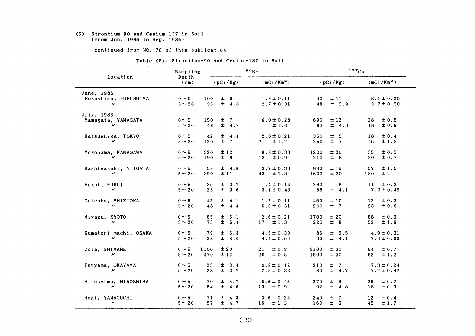#### (5) Strontium-90 and Cesium-137in Soil (fromJun.1986 to Sep.1986)

-COntinued from NO.76 of this publication-

| Location                                                | Sampling                  |                                       | $\circ \circ_{\rm Sr}$           | 137Cs                                |                                         |
|---------------------------------------------------------|---------------------------|---------------------------------------|----------------------------------|--------------------------------------|-----------------------------------------|
|                                                         | Depth<br>$(c_m)$          | (pCi/Kg)                              | $(mCi/Km^2)$                     | (pCi/Kg)                             | (mCi/Km <sup>2</sup> )                  |
| June, 1986<br>Fukushima, FUKUSHIMA<br>$^{\prime\prime}$ | $0 \sim 5$<br>$5 \sim 20$ | $\pm$ 6<br>100<br>$\pm$ 4.0<br>36     | $1.9 \pm 0.11$<br>$2.7 \pm 0.31$ | 430<br>±11<br>48<br>$\pm$ 3.9        | $8.1 \pm 0.20$<br>$3.7 \pm 0.30$        |
| JUly, 1986<br>Yamagata, YAMAGATA<br>$\mathbf{w}$        | $0 \sim 5$<br>$5 \sim 20$ | ±7<br>150<br>$\pm$ 4.7<br>48          | $6.0 \pm 0.28$<br>$11 \pm 1.0$   | 690<br>±12<br>$\pm$ 4.3<br>83        | ± 0.5<br>28<br>±0.9<br>18               |
| Katsushika, TOKYO<br>$\prime\prime$                     | $0 \sim 5$<br>$5 \sim 20$ | $\pm$ 4.4<br>42<br>$±$ 7<br>120       | $2.0 \pm 0.21$<br>$21 \pm 1.2$   | ± 9<br>360<br>$±$ 7<br>250           | ± 0.4<br>18<br>±1.3<br>46               |
| Yokohama, KANAGAWA<br>$\boldsymbol{\prime\prime}$       | $0 \sim 5$<br>$5 \sim 20$ | ±12<br>320<br>190<br>± 9              | $8.8 \pm 0.33$<br>$18 \pm 0.9$   | ±20<br>1200<br>$±$ 8<br>210          | ± 0.5<br>35<br>± 0.7<br>20              |
| Kashiwazaki, NIIGATA<br>$^{\prime\prime}$               | $0 \sim 5$<br>$5 \sim 20$ | 58<br>$\pm$ 4.8<br>±11<br>390         | $3.9 \pm 0.33$<br>$43 \pm 1.3$   | ±15<br>840<br>±20<br>1600            | ±1.0<br>57<br>±2<br>180                 |
| Fukui, FUKUI<br>$\prime\prime$                          | $0 \sim 5$<br>$5 \sim 20$ | 36<br>$\pm$ 3.7<br>± 3.6<br>25        | $1.4 \pm 0.14$<br>$3.1 \pm 0.43$ | ± 8<br>280<br>$\pm$ 4.1<br>58        | 11<br>$\pm 0.3$<br>$7.0 \pm 0.49$       |
| Gotenba, SHIZUOKA<br>$\prime\prime$                     | $0 \sim 5$<br>$5 \sim 20$ | $\pm$ 4.1<br>45<br>± 4.4<br>48        | $1.2 \pm 0.11$<br>$5.6 \pm 0.51$ | ±10<br>460<br>$±$ 7<br>200           | ± 0.3<br>12 <sub>2</sub><br>± 0.8<br>23 |
| Miyazu, KYOTO<br>$\boldsymbol{\prime\prime}$            | $0 \sim 5$<br>$5 \sim 20$ | 65<br>± 5.1<br>± 5.4<br>73            | $2.6 \pm 0.21$<br>$17 \pm 1.3$   | ±20<br>1700<br>± 8<br>220            | ±0.9<br>68<br>±1.9<br>52 <sub>2</sub>   |
| Kumatori-machi, OSAKA<br>$\boldsymbol{\prime\prime}$    | $0 \sim 5$<br>$5 \sim 20$ | ± 5.3<br>79<br>28<br>$\pm$ 4.0        | $4.5 \pm 0.30$<br>$4.4 \pm 0.64$ | ± 5.5<br>86<br>$\pm$ 4.1<br>46       | $4.9 \pm 0.31$<br>$7.4 \pm 0.66$        |
| Oota, SHIMANE<br>$\boldsymbol{\mu}$                     | $0 \sim 5$<br>$5 \sim 20$ | 1100<br>±20<br>470<br>±12             | 21<br>$\pm 0.3$<br>± 0.5<br>20   | ±30<br>3100<br>±30<br>1500           | 64<br>$\pm 0.7$<br>±1.2<br>62           |
| Tsuyama, OKAYAMA<br>$\boldsymbol{\prime\prime}$         | $0 \sim 5$<br>$5 \sim 20$ | 3.4<br>23<br>$\pm$<br>$\pm$ 3.7<br>28 | $0.8 \pm 0.12$<br>$2.5 \pm 0.33$ | $±$ 7<br>210<br>$\pm$ 4.7<br>80      | $7.3 \pm 0.24$<br>$7.2 \pm 0.42$        |
| Hiroshima, HIROSHIMA<br>$\prime\prime$                  | $0 \sim 5$<br>$5 \sim 20$ | 70<br>$\pm$ 4.7<br>$\pm$ 4.6<br>64    | $6.6 \pm 0.45$<br>$13 \pm 0.9$   | $\pm$<br>8<br>270<br>$\pm$ 4.8<br>92 | ± 0.7<br>26<br>±0.9<br>18               |
| Hagi, YAMAGUCHI<br>$\prime\prime$                       | $0 \sim 5$<br>$5 \sim 20$ | 71<br>$\pm$ 4.8<br>$\pm$ 4.7<br>57    | $3.6 \pm 0.25$<br>$16 \pm 1.3$   | 240<br>$±$ 7<br>± 6<br>160           | 12 <sup>7</sup><br>± 0.4<br>±1.7<br>45  |

 $\sim 10^{-1}$ 

Table (5): Strontium-90 and Cesium-137 in Soil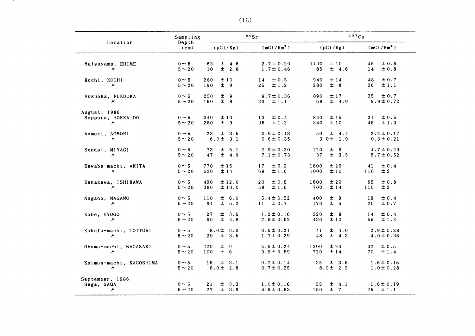| Location                                            | Sampling                   | $\cdot \cdot$                             |                                  | 137Cs                              |                                   |
|-----------------------------------------------------|----------------------------|-------------------------------------------|----------------------------------|------------------------------------|-----------------------------------|
|                                                     | Depth<br>(c <sub>m</sub> ) | (pCi/Kg)                                  | (mCi/Km <sup>2</sup> )           | (pCi/Kg)                           | (mCi/Km <sup>2</sup> )            |
| Matsuyama, EHIME<br>W                               | $0 \sim 5$<br>$5 \sim 20$  | 63<br>$\pm$ 4.6<br>$\pm$ 2.8<br>10        | $2.7 \pm 0.20$<br>$1.7 \pm 0.46$ | ±10<br>1100<br>$\pm$ 4.6<br>85     | ± 0.6<br>45<br>± 0.8<br>14        |
| Kochi, KOCHI<br>$\prime\prime$                      | $0 \sim 5$<br>$5 \sim 20$  | 280<br>±10<br>± 9<br>190                  | ±0.5<br>14<br>25<br>±1.2         | 940<br>±14<br>± 8<br>280           | ± 0.7<br>48<br>36<br>$\pm$ 1.1    |
| Fukuoka, FUKUOKA<br>$\boldsymbol{\prime\prime}$     | $0 \sim 5$<br>$5 \sim 20$  | ± 9<br>250<br>$±$ 8<br>160                | $9.7 \pm 0.36$<br>±1.1<br>$23 -$ | ±17<br>890<br>68<br>$\pm$ 4.9      | $35 \pm 0.7$<br>$9.9 \pm 0.72$    |
| August, 1986<br>Sapporo, HOKKAIDO<br>$\prime\prime$ | $0 \sim 5$<br>$5 \sim 20$  | ±10<br>340<br>280<br>± 9                  | 13<br>$\pm 0.4$<br>±1.2<br>38    | ±15<br>840<br>340<br>±10           | 31<br>±0.5<br>±1.3<br>45          |
| Aomori, AOMORI<br>$^{\prime\prime}$                 | $0 \sim 5$<br>$5 \sim 20$  | 23 <sub>1</sub><br>± 3.5<br>$6.0 \pm 3.1$ | $0.9 \pm 0.13$<br>$0.6 \pm 0.35$ | 59<br>$\pm$ 4.4<br>$3.0 \pm 1.9$   | $2.2 \pm 0.17$<br>$0.3 \pm 0.21$  |
| Sendai, MIYAGI<br>$\boldsymbol{\prime\prime}$       | $0 \sim 5$<br>$5 \sim 20$  | 73<br>$\pm$ 5.1<br>47<br>$\pm$ 4.9        | $2.9 \pm 0.20$<br>$7.1 \pm 0.73$ | ± 6<br>120<br>37<br>± 3.5          | $4.7 \pm 0.23$<br>$5.7 \pm 0.52$  |
| Kawabe-machi, AKITA<br>$\prime\prime$               | $0 \sim 5$<br>$5 \sim 20$  | 770<br>±15<br>630<br>±14                  | 17<br>$\pm 0.3$<br>±1.6<br>69    | 1800<br>±20<br>±10<br>1000         | ± 0.4<br>41<br>±2<br>110          |
| Kanazawa, ISHIKAWA<br>$\boldsymbol{\prime\prime}$   | $0 \sim 5$<br>$5 \sim 20$  | ±12.0<br>490<br>380<br>±10.0              | 20<br>$\pm 0.5$<br>±1.6<br>58    | 1600<br>±20<br>700<br>±14          | 65<br>$\pm 0.8$<br>± 2<br>110     |
| Nagano, NAGANO<br>$\boldsymbol{\prime\prime}$       | $0 \sim 5$<br>$5 \sim 20$  | ± 6.0<br>110<br>$\pm$ 6.2<br>94           | $5.4 \pm 0.32$<br>$11 \pm 0.7$   | 400<br>土 9<br>± 6<br>170           | ± 0.4<br>19<br>± 0.7<br>20        |
| Kobe, HYOGO<br>$\prime\prime$                       | $0 \sim 5$<br>$5 \sim 20$  | 27<br>± 3.6<br>$\pm$ 4.8<br>60            | $1.2 \pm 0.16$<br>$7.6 \pm 0.62$ | ± 8<br>320<br>430<br>±10           | ± 0.4<br>14<br>55<br>±1.2         |
| Kokufu-machi, TOTTORI<br>$\prime\prime$             | $0 \sim 5$<br>$5 \sim 20$  | $8.0 \pm 3.0$<br>± 3.5<br>20              | $0.6 \pm 0.21$<br>$1.7 \pm 0.29$ | $\pm$ 4.0<br>41<br>$\pm$ 4.3<br>48 | $2.9 \pm 0.28$<br>$4.0 \pm 0.36$  |
| Obama-machi, NAGASAKI<br>$\prime\prime$             | $0 \sim 5$<br>$5 \sim 20$  | ± 9<br>220<br>± 6<br>100                  | $5.6 \pm 0.24$<br>$9.9 \pm 0.59$ | ±20<br>1300<br>720<br>±14          | $\pm 0.5$<br>$32 -$<br>±1.4<br>70 |
| Kaimon-machi, KAGOSHIMA<br>$\prime\prime$           | $0 \sim 5$<br>$5 \sim 20$  | 15<br>$\pm$ 3.1<br>$6.0 \pm 2.8$          | $0.7 \pm 0.14$<br>$0.7 \pm 0.35$ | $\pm$ 3.5<br>35<br>$8.0 \pm 2.3$   | $1.6 \pm 0.16$<br>$1.0 \pm 0.28$  |
| September, 1986<br>Saga, SAGA<br>$\prime\prime$     | $0 \sim 5$<br>$5 \sim 20$  | 21<br>$\pm$ 3.3<br>$\pm$ 3.8<br>27        | $1.0 \pm 0.16$<br>$4.6 \pm 0.63$ | $\pm$ 4.1<br>35<br>±7<br>150       | $1.6 \pm 0.19$<br>$25 \pm 1.1$    |

 $(16)$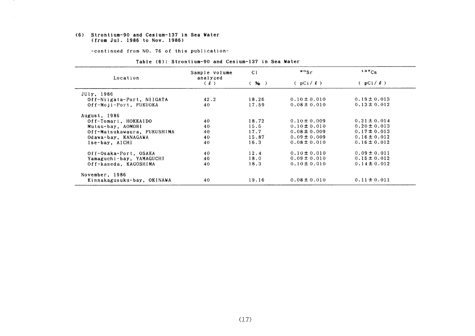#### (6) Strontium-90 and Cesium-137in Sea Vater (from Jul.1986 to Nov.1986)

-COntinued from NO.76 0f this publication-

| Location                    | Sample volume<br>analyzed | C <sub>1</sub> | $\frac{90}{5}$ r | $137C_S$         |
|-----------------------------|---------------------------|----------------|------------------|------------------|
|                             | (1)                       | (96)           | (pCi/2)          | $(pCi / \ell)$   |
| JUly, 1986                  |                           |                |                  |                  |
| Off-Niigata-Port, NIIGATA   | 42.2                      | 18.26          | $0.10 \pm 0.010$ | $0.19 \pm 0.013$ |
| Off-Moji-Port, FUKUOKA      | 40                        | 17.59          | $0.08 \pm 0.010$ | $0.13 \pm 0.012$ |
| August, 1986                |                           |                |                  |                  |
| Off-Tomari, HOKKAIDO        | 40                        | 18.72          | $0.10 \pm 0.009$ | $0.21 \pm 0.014$ |
| Mutsu-bay, AOMORI           | 40                        | 15.6           | $0.10 \pm 0.010$ | $0.20 \pm 0.013$ |
| Off-Matsukawaura, FUKUSHIMA | 40                        | 17.7           | $0.08 \pm 0.009$ | $0.17 \pm 0.013$ |
| Odawa-bay, KANAGAWA         | 40                        | 15.87          | $0.09 \pm 0.009$ | $0.16 \pm 0.012$ |
| Ise-bay, AICHI              | 40                        | 16.3           | $0.08 \pm 0.010$ | $0.16 \pm 0.012$ |
| Off-Osaka-Port, OSAKA       | 40                        | 12.4           | $0.10 \pm 0.010$ | $0.09 \pm 0.011$ |
| Yamaguchi-bay, YAMAGUCHI    | 40                        | 18.0           | $0.09 \pm 0.010$ | $0.15 \pm 0.012$ |
| Off-kaseda, KAGOSHIMA       | 40                        | 18.3           | $0.10 \pm 0.010$ | $0.14 \pm 0.012$ |
| November, 1986              |                           |                |                  |                  |
| Kinnakagusuku-bay, OKINAWA  | 40                        | 19.16          | $0.08 \pm 0.010$ | $0.11 \pm 0.011$ |

#### Table (6): Strontium-90 and Cesium-137 in Sea Water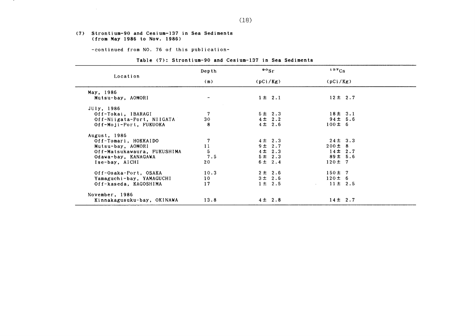#### (7) Strontium-90 and Cesium-137in Sea Sediments (from May1986 to Nov.1986)

 $\sim 10^{-11}$ 

-COntinued from NO.76 0f this publication-

#### Table (7): Strontium-90 and Cesium-137 in Sea Sediments

|                             | Depth           | $\frac{90}{ST}$ | $137C_S$                           |  |
|-----------------------------|-----------------|-----------------|------------------------------------|--|
| Location                    | (m)             | (pCi/Kg)        | (pCi/Kg)                           |  |
| May, 1986                   |                 |                 |                                    |  |
| Mutsu-bay, AOMORI           |                 | $1 \pm 2.1$     | $12 \pm 2.7$                       |  |
| JUly, 1986                  |                 |                 |                                    |  |
| Off-Tokai, IBARAGI          | 7               | 5 ± 2.3         | 18±3.1                             |  |
| Off-Niigata-Port, NIIGATA   | 30              | $4 \pm 2.2$     | $94 \pm 5.6$                       |  |
| Off-Moji-Port, FUKUOKA      | 8               | $4\pm$ 2.6      | $100 \pm 6$                        |  |
| August, 1986                |                 |                 |                                    |  |
| Off-Tomari, HOKKAIDO        |                 | $4 \pm 2.3$     | $24 \pm 3.3$                       |  |
| Mutsu-bay, AOMORI           | 11              | 9 ± 2.7         | $200 \pm 8$                        |  |
| Off-Matsukawaura, FUKUSHIMA | 5               | $4 \pm 2.3$     | $14 \pm 2.7$                       |  |
| Odawa-bay, KANAGAWA         | 7.5             | 5 ± 2.3         | $89 \pm 5.6$                       |  |
| Ise-bay, AICHI              | 20              | 6 ± 2.4         | $120 \pm 7$                        |  |
| Off-Osaka-Port, OSAKA       | 10.3            | $2 \pm 2.6$     | $150 \pm 7$                        |  |
| Yamaguchi-bay, YAMAGUCHI    | 10 <sub>1</sub> | 3 ± 2.6         | $120 \pm 6$                        |  |
| Off-kaseda, KAGOSHIMA       | 17              | $1 \pm 2.5$     | $11 \pm 2.5$<br><b>All Control</b> |  |
| November, 1986              |                 |                 |                                    |  |
| Kinnakagusuku-bay, OKINAWA  | 13.8            | $4\pm 2.8$      | $14 \pm 2.7$                       |  |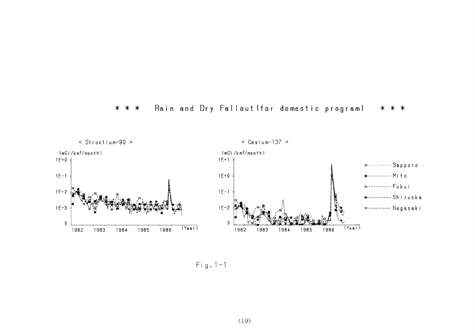#### Rain and Dry Fallout (for domestic program)  $* * *$ \* \* \*



 $Fig. 1-1$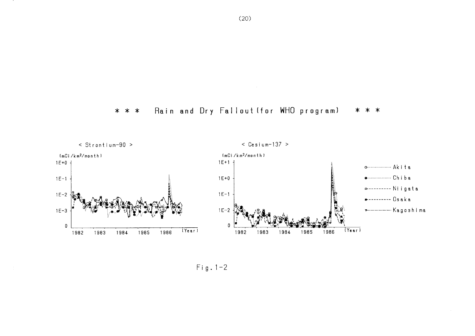



 $\mathcal{L}_{\mathcal{A}}$ 

 $Fig. 1-2$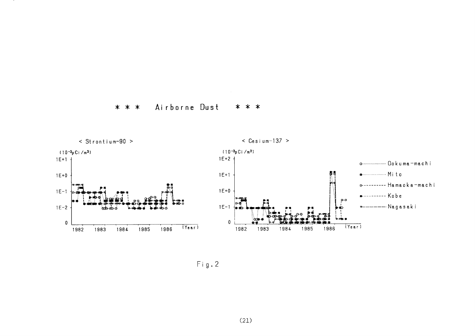



 $Fig. 2$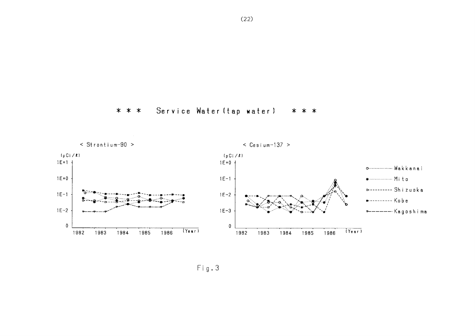



 $Fig. 3$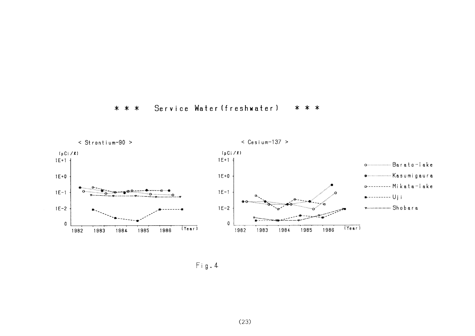#### Service Water (freshwater) \* \* \* \* \* \*



 $Fig. 4$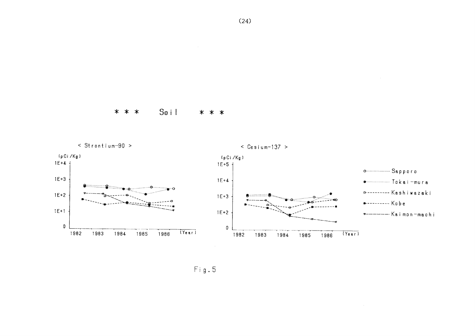



Fig.5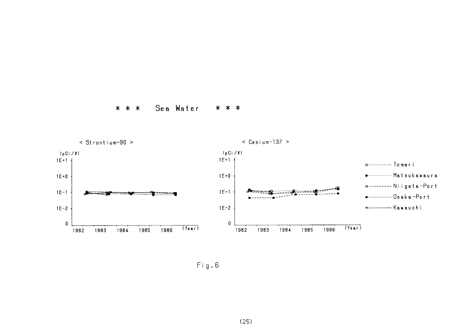Sea Water \* \* \* \* \* \*



 $\mathsf{Fig.6}$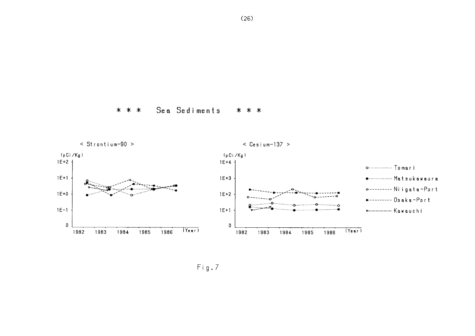



 $(26)$ 

 $Fig.7$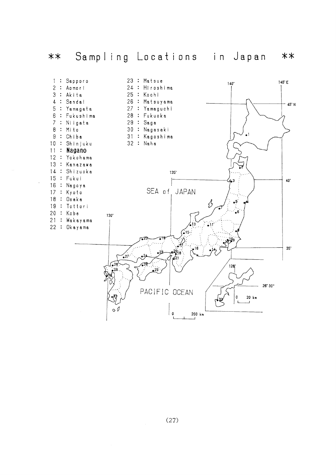

 $\hat{\varphi}$